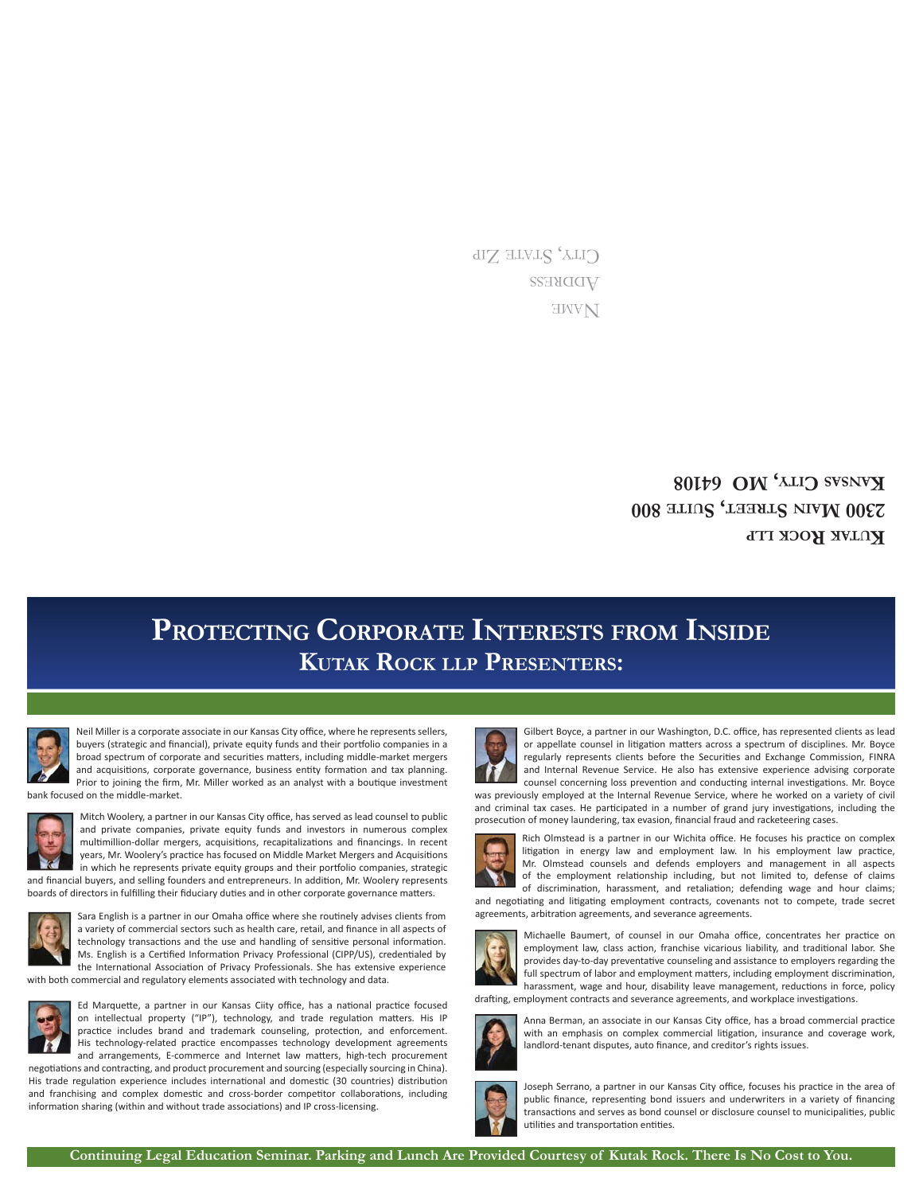**AWE** WDDRESS CITY, STATE ZIP

> **KUTAK ROCK LLP 800 UITE , S TREET S AIN 2300 M** *RVIND* **CALLY OND PUDE 80108**

# **KUTAK ROCK LLP PRESENTERS: PROTECTING CORPORATE INTERESTS FROM INSIDE**



Neil Miller is a corporate associate in our Kansas City office, where he represents sellers, buyers (strategic and financial), private equity funds and their portfolio companies in a broad spectrum of corporate and securities matters, including middle-market mergers and acquisitions, corporate governance, business entity formation and tax planning. Prior to joining the firm, Mr. Miller worked as an analyst with a boutique investment bank focused on the middle-market.



Mitch Woolery, a partner in our Kansas City office, has served as lead counsel to public and private companies, private equity funds and investors in numerous complex multimillion-dollar mergers, acquisitions, recapitalizations and financings. In recent years, Mr. Woolery's practice has focused on Middle Market Mergers and Acquisitions in which he represents private equity groups and their portfolio companies, strategic and financial buyers, and selling founders and entrepreneurs. In addition, Mr. Woolery represents

boards of directors in fulfilling their fiduciary duties and in other corporate governance matters.



Sara English is a partner in our Omaha office where she routinely advises clients from a variety of commercial sectors such as health care, retail, and finance in all aspects of technology transactions and the use and handling of sensitive personal information. Ms. English is a Certified Information Privacy Professional (CIPP/US), credentialed by the International Association of Privacy Professionals. She has extensive experience with both commercial and regulatory elements associated with technology and data.



Ed Marquette, a partner in our Kansas Ciity office, has a national practice focused on intellectual property ("IP"), technology, and trade regulation matters. His IP practice includes brand and trademark counseling, protection, and enforcement. His technology-related practice encompasses technology development agreements

and arrangements, E-commerce and Internet law matters, high-tech procurement negotiations and contracting, and product procurement and sourcing (especially sourcing in China). His trade regulation experience includes international and domestic (30 countries) distribution and franchising and complex domestic and cross-border competitor collaborations, including information sharing (within and without trade associations) and IP cross-licensing.



Gilbert Boyce, a partner in our Washington, D.C. office, has represented clients as lead or appellate counsel in litigation matters across a spectrum of disciplines. Mr. Boyce regularly represents clients before the Securities and Exchange Commission, FINRA and Internal Revenue Service. He also has extensive experience advising corporate counsel concerning loss prevention and conducting internal investigations. Mr. Boyce

was previously employed at the Internal Revenue Service, where he worked on a variety of civil and criminal tax cases. He participated in a number of grand jury investigations, including the prosecution of money laundering, tax evasion, financial fraud and racketeering cases.



Rich Olmstead is a partner in our Wichita office. He focuses his practice on complex litigation in energy law and employment law. In his employment law practice, Mr. Olmstead counsels and defends employers and management in all aspects of the employment relationship including, but not limited to, defense of claims of discrimination, harassment, and retaliation; defending wage and hour claims;

and negotiating and litigating employment contracts, covenants not to compete, trade secret agreements, arbitration agreements, and severance agreements.



Michaelle Baumert, of counsel in our Omaha office, concentrates her practice on employment law, class action, franchise vicarious liability, and traditional labor. She provides day-to-day preventative counseling and assistance to employers regarding the full spectrum of labor and employment matters, including employment discrimination, harassment, wage and hour, disability leave management, reductions in force, policy

drafting, employment contracts and severance agreements, and workplace investigations.



Anna Berman, an associate in our Kansas City office, has a broad commercial practice with an emphasis on complex commercial litigation, insurance and coverage work, landlord-tenant disputes, auto finance, and creditor's rights issues.



Joseph Serrano, a partner in our Kansas City office, focuses his practice in the area of public finance, representing bond issuers and underwriters in a variety of financing transactions and serves as bond counsel or disclosure counsel to municipalities, public utilities and transportation entities.